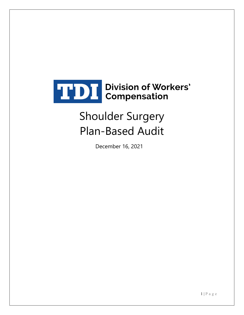

# Shoulder Surgery Plan-Based Audit

December 16, 2021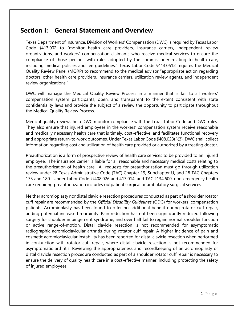#### **Section I: General Statement and Overview**

Texas Department of Insurance, Division of Workers' Compensation (DWC) is required by Texas Labor Code §413.002 to "monitor health care providers, insurance carriers, independent review organizations, and workers' compensation claimants who receive medical services to ensure the compliance of those persons with rules adopted by the commissioner relating to health care, including medical policies and fee guidelines." Texas Labor Code §413.0512 requires the Medical Quality Review Panel (MQRP) to recommend to the medical advisor "appropriate action regarding doctors, other health care providers, insurance carriers, utilization review agents, and independent review organizations."

DWC will manage the Medical Quality Review Process in a manner that is fair to all workers' compensation system participants, open, and transparent to the extent consistent with state confidentiality laws and provide the subject of a review the opportunity to participate throughout the Medical Quality Review Process.

Medical quality reviews help DWC monitor compliance with the Texas Labor Code and DWC rules. They also ensure that injured employees in the workers' compensation system receive reasonable and medically necessary health care that is timely, cost-effective, and facilitates functional recovery and appropriate return-to-work outcomes. Under Texas Labor Code §408.023(l)(3), DWC shall collect information regarding cost and utilization of health care provided or authorized by a treating doctor.

Preauthorization is a form of prospective review of health care services to be provided to an injured employee. The insurance carrier is liable for all reasonable and necessary medical costs relating to the preauthorization of health care. All requests for preauthorization must go through utilization review under 28 Texas Administrative Code (TAC) Chapter 19, Subchapter U, and 28 TAC Chapters 133 and 180. Under Labor Code §§408.026 and 413.014, and TAC §134.600, non-emergency health care requiring preauthorization includes outpatient surgical or ambulatory surgical services.

Neither acromioplasty nor distal clavicle resection procedures conducted as part of a shoulder rotator cuff repair are recommended by the *Official Disability Guidelines* (ODG) for workers' compensation patients. Acromioplasty has been found to offer no additional benefit during rotator cuff repair, adding potential increased morbidity. Pain reduction has not been significantly reduced following surgery for shoulder impingement syndrome, and over half fail to regain normal shoulder function or active range-of-motion. Distal clavicle resection is not recommended for asymptomatic radiographic acromioclavicular arthritis during rotator cuff repair. A higher incidence of pain and cosmetic acromioclavicular instability has been reported for distal clavicle resection when performed in conjunction with rotator cuff repair, where distal clavicle resection is not recommended for asymptomatic arthritis. Reviewing the appropriateness and recordkeeping of an acromioplasty or distal clavicle resection procedure conducted as part of a shoulder rotator cuff repair is necessary to ensure the delivery of quality health care in a cost-effective manner, including protecting the safety of injured employees.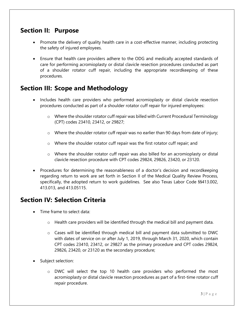#### **Section II: Purpose**

- Promote the delivery of quality health care in a cost-effective manner, including protecting the safety of injured employees.
- Ensure that health care providers adhere to the ODG and medically accepted standards of care for performing acromioplasty or distal clavicle resection procedures conducted as part of a shoulder rotator cuff repair, including the appropriate recordkeeping of these procedures.

## **Section III: Scope and Methodology**

- Includes health care providers who performed acromioplasty or distal clavicle resection procedures conducted as part of a shoulder rotator cuff repair for injured employees:
	- $\circ$  Where the shoulder rotator cuff repair was billed with Current Procedural Terminology (CPT) codes 23410, 23412, or 29827;
	- o Where the shoulder rotator cuff repair was no earlier than 90 days from date of injury;
	- o Where the shoulder rotator cuff repair was the first rotator cuff repair; and
	- $\circ$  Where the shoulder rotator cuff repair was also billed for an acromioplasty or distal clavicle resection procedure with CPT codes 29824, 29826, 23420, or 23120.
- Procedures for determining the reasonableness of a doctor's decision and recordkeeping regarding return to work are set forth in Section II of the Medical Quality Review Process, specifically, the adopted return to work guidelines. See also Texas Labor Code §§413.002, 413.013, and 413.05115.

#### **Section IV: Selection Criteria**

- Time frame to select data:
	- o Health care providers will be identified through the medical bill and payment data.
	- $\circ$  Cases will be identified through medical bill and payment data submitted to DWC with dates of service on or after July 1, 2019, through March 31, 2020, which contain CPT codes 23410, 23412, or 29827 as the primary procedure and CPT codes 29824, 29826, 23420, or 23120 as the secondary procedure;
- Subject selection:
	- $\circ$  DWC will select the top 10 health care providers who performed the most acromioplasty or distal clavicle resection procedures as part of a first-time rotator cuff repair procedure.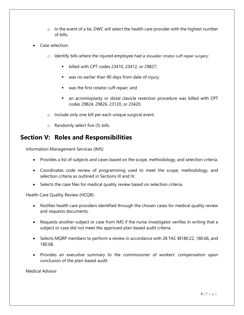- $\circ$  In the event of a tie, DWC will select the health care provider with the highest number of bills.
- Case selection:
	- o Identify bills where the injured employee had a shoulder rotator cuff repair surgery:
		- **billed with CPT codes 23410, 23412, or 29827;**
		- was no earlier than 90 days from date of injury;
		- was the first rotator cuff repair; and
		- an acromioplasty or distal clavicle resection procedure was billed with CPT codes 29824, 29826, 23120, or 23420.
	- o Include only one bill per each unique surgical event.
	- o Randomly select five (5) bills.

#### **Section V: Roles and Responsibilities**

Information Management Services (IMS)

- Provides a list of subjects and cases based on the scope, methodology, and selection criteria.
- Coordinates code review of programming used to meet the scope, methodology, and selection criteria as outlined in Sections III and IV.
- Selects the case files for medical quality review based on selection criteria.

Health Care Quality Review (HCQR)

- Notifies health care providers identified through the chosen cases for medical quality review and requests documents.
- Requests another subject or case from IMS if the nurse investigator verifies in writing that a subject or case did not meet the approved plan-based audit criteria.
- Selects MQRP members to perform a review in accordance with 28 TAC §§180.22, 180.66, and 180.68.
- Provides an executive summary to the commissioner of workers' compensation upon conclusion of the plan-based audit.

Medical Advisor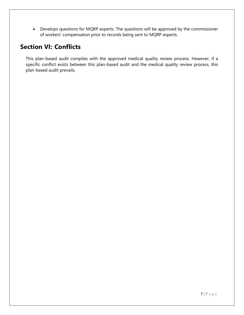• Develops questions for MQRP experts. The questions will be approved by the commissioner of workers' compensation prior to records being sent to MQRP experts.

## **Section VI: Conflicts**

This plan-based audit complies with the approved medical quality review process. However, if a specific conflict exists between this plan-based audit and the medical quality review process, this plan-based audit prevails.